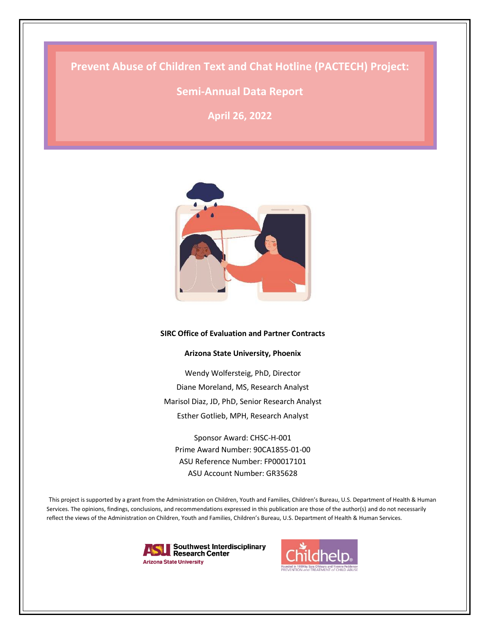# **Prevent Abuse of Children Text and Chat Hotline (PACTECH) Project:**

# **Semi-Annual Data Report**

**April 26, 2022**



#### **SIRC Office of Evaluation and Partner Contracts**

#### **Arizona State University, Phoenix**

Wendy Wolfersteig, PhD, Director Diane Moreland, MS, Research Analyst Marisol Diaz, JD, PhD, Senior Research Analyst Esther Gotlieb, MPH, Research Analyst

Sponsor Award: CHSC-H-001 Prime Award Number: 90CA1855-01-00 ASU Reference Number: FP00017101 ASU Account Number: GR35628

This project is supported by a grant from the Administration on Children, Youth and Families, Children's Bureau, U.S. Department of Health & Human Services. The opinions, findings, conclusions, and recommendations expressed in this publication are those of the author(s) and do not necessarily reflect the views of the Administration on Children, Youth and Families, Children's Bureau, U.S. Department of Health & Human Services.



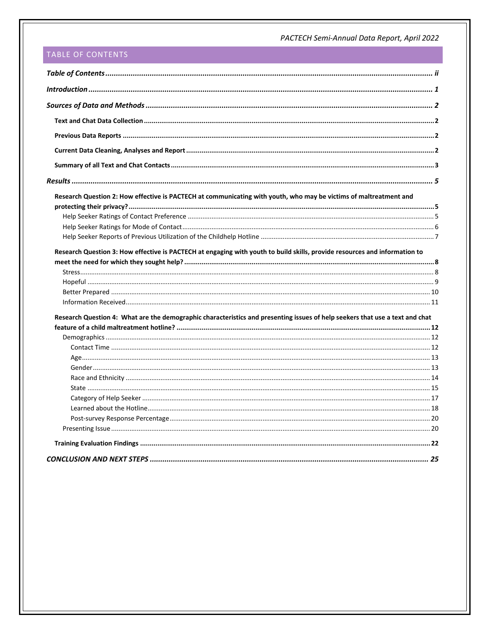# <span id="page-1-0"></span>TABLE OF CONTENTS

| Research Question 2: How effective is PACTECH at communicating with youth, who may be victims of maltreatment and            |  |
|------------------------------------------------------------------------------------------------------------------------------|--|
|                                                                                                                              |  |
|                                                                                                                              |  |
|                                                                                                                              |  |
|                                                                                                                              |  |
| Research Question 3: How effective is PACTECH at engaging with youth to build skills, provide resources and information to   |  |
|                                                                                                                              |  |
|                                                                                                                              |  |
|                                                                                                                              |  |
|                                                                                                                              |  |
|                                                                                                                              |  |
| Research Question 4: What are the demographic characteristics and presenting issues of help seekers that use a text and chat |  |
|                                                                                                                              |  |
|                                                                                                                              |  |
|                                                                                                                              |  |
|                                                                                                                              |  |
|                                                                                                                              |  |
|                                                                                                                              |  |
|                                                                                                                              |  |
|                                                                                                                              |  |
|                                                                                                                              |  |
|                                                                                                                              |  |
|                                                                                                                              |  |
|                                                                                                                              |  |
|                                                                                                                              |  |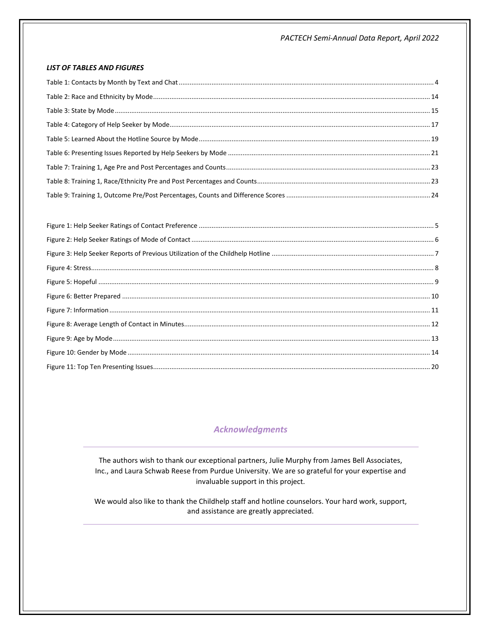#### **LIST OF TABLES AND FIGURES**

# **Acknowledgments**

The authors wish to thank our exceptional partners, Julie Murphy from James Bell Associates, Inc., and Laura Schwab Reese from Purdue University. We are so grateful for your expertise and invaluable support in this project.

We would also like to thank the Childhelp staff and hotline counselors. Your hard work, support, and assistance are greatly appreciated.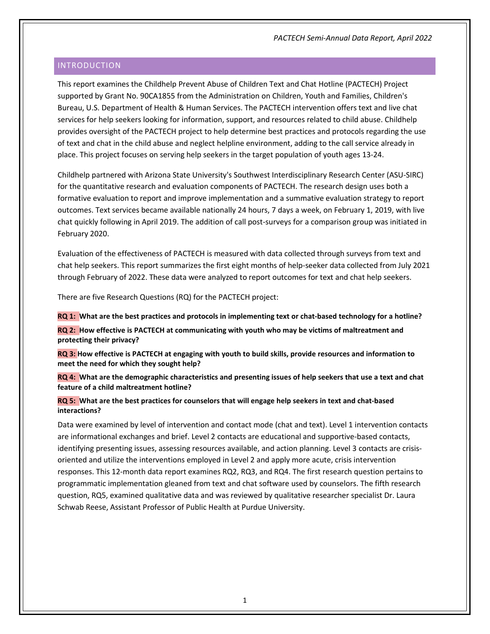# <span id="page-3-0"></span>INTRODUCTION

This report examines the Childhelp Prevent Abuse of Children Text and Chat Hotline (PACTECH) Project supported by Grant No. 90CA1855 from the Administration on Children, Youth and Families, Children's Bureau, U.S. Department of Health & Human Services. The PACTECH intervention offers text and live chat services for help seekers looking for information, support, and resources related to child abuse. Childhelp provides oversight of the PACTECH project to help determine best practices and protocols regarding the use of text and chat in the child abuse and neglect helpline environment, adding to the call service already in place. This project focuses on serving help seekers in the target population of youth ages 13-24.

Childhelp partnered with Arizona State University's Southwest Interdisciplinary Research Center (ASU-SIRC) for the quantitative research and evaluation components of PACTECH. The research design uses both a formative evaluation to report and improve implementation and a summative evaluation strategy to report outcomes. Text services became available nationally 24 hours, 7 days a week, on February 1, 2019, with live chat quickly following in April 2019. The addition of call post-surveys for a comparison group was initiated in February 2020.

Evaluation of the effectiveness of PACTECH is measured with data collected through surveys from text and chat help seekers. This report summarizes the first eight months of help-seeker data collected from July 2021 through February of 2022. These data were analyzed to report outcomes for text and chat help seekers.

There are five Research Questions (RQ) for the PACTECH project:

**RQ 1: What are the best practices and protocols in implementing text or chat-based technology for a hotline? RQ 2: How effective is PACTECH at communicating with youth who may be victims of maltreatment and protecting their privacy?**

**RQ 3: How effective is PACTECH at engaging with youth to build skills, provide resources and information to meet the need for which they sought help?**

**RQ 4: What are the demographic characteristics and presenting issues of help seekers that use a text and chat feature of a child maltreatment hotline?** 

**RQ 5: What are the best practices for counselors that will engage help seekers in text and chat-based interactions?**

Data were examined by level of intervention and contact mode (chat and text). Level 1 intervention contacts are informational exchanges and brief. Level 2 contacts are educational and supportive-based contacts, identifying presenting issues, assessing resources available, and action planning. Level 3 contacts are crisisoriented and utilize the interventions employed in Level 2 and apply more acute, crisis intervention responses. This 12-month data report examines RQ2, RQ3, and RQ4. The first research question pertains to programmatic implementation gleaned from text and chat software used by counselors. The fifth research question, RQ5, examined qualitative data and was reviewed by qualitative researcher specialist Dr. Laura Schwab Reese, Assistant Professor of Public Health at Purdue University.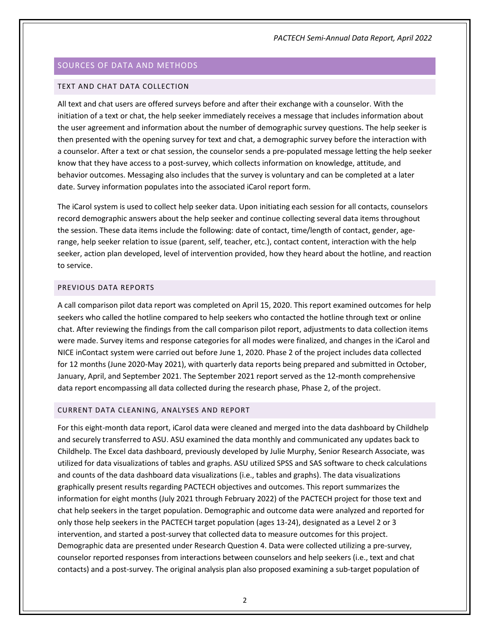# <span id="page-4-0"></span>SOURCES OF DATA AND METHODS

#### <span id="page-4-1"></span>TEXT AND CHAT DATA COLLECTION

All text and chat users are offered surveys before and after their exchange with a counselor. With the initiation of a text or chat, the help seeker immediately receives a message that includes information about the user agreement and information about the number of demographic survey questions. The help seeker is then presented with the opening survey for text and chat, a demographic survey before the interaction with a counselor. After a text or chat session, the counselor sends a pre-populated message letting the help seeker know that they have access to a post-survey, which collects information on knowledge, attitude, and behavior outcomes. Messaging also includes that the survey is voluntary and can be completed at a later date. Survey information populates into the associated iCarol report form.

The iCarol system is used to collect help seeker data. Upon initiating each session for all contacts, counselors record demographic answers about the help seeker and continue collecting several data items throughout the session. These data items include the following: date of contact, time/length of contact, gender, agerange, help seeker relation to issue (parent, self, teacher, etc.), contact content, interaction with the help seeker, action plan developed, level of intervention provided, how they heard about the hotline, and reaction to service.

### <span id="page-4-2"></span>PREVIOUS DATA REPORTS

A call comparison pilot data report was completed on April 15, 2020. This report examined outcomes for help seekers who called the hotline compared to help seekers who contacted the hotline through text or online chat. After reviewing the findings from the call comparison pilot report, adjustments to data collection items were made. Survey items and response categories for all modes were finalized, and changes in the iCarol and NICE inContact system were carried out before June 1, 2020. Phase 2 of the project includes data collected for 12 months (June 2020-May 2021), with quarterly data reports being prepared and submitted in October, January, April, and September 2021. The September 2021 report served as the 12-month comprehensive data report encompassing all data collected during the research phase, Phase 2, of the project.

#### <span id="page-4-3"></span>CURRENT DATA CLEANING, ANALYSES AND REPORT

For this eight-month data report, iCarol data were cleaned and merged into the data dashboard by Childhelp and securely transferred to ASU. ASU examined the data monthly and communicated any updates back to Childhelp. The Excel data dashboard, previously developed by Julie Murphy, Senior Research Associate, was utilized for data visualizations of tables and graphs. ASU utilized SPSS and SAS software to check calculations and counts of the data dashboard data visualizations (i.e., tables and graphs). The data visualizations graphically present results regarding PACTECH objectives and outcomes. This report summarizes the information for eight months (July 2021 through February 2022) of the PACTECH project for those text and chat help seekers in the target population. Demographic and outcome data were analyzed and reported for only those help seekers in the PACTECH target population (ages 13-24), designated as a Level 2 or 3 intervention, and started a post-survey that collected data to measure outcomes for this project. Demographic data are presented under Research Question 4. Data were collected utilizing a pre-survey, counselor reported responses from interactions between counselors and help seekers (i.e., text and chat contacts) and a post-survey. The original analysis plan also proposed examining a sub-target population of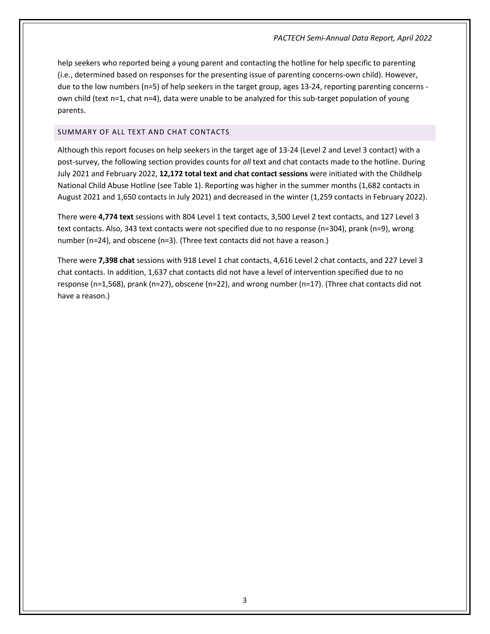help seekers who reported being a young parent and contacting the hotline for help specific to parenting (i.e., determined based on responses for the presenting issue of parenting concerns-own child). However, due to the low numbers (n=5) of help seekers in the target group, ages 13-24, reporting parenting concerns own child (text n=1, chat n=4), data were unable to be analyzed for this sub-target population of young parents.

# <span id="page-5-0"></span>SUMMARY OF ALL TEXT AND CHAT CONTACTS

Although this report focuses on help seekers in the target age of 13-24 (Level 2 and Level 3 contact) with a post-survey, the following section provides counts for *all* text and chat contacts made to the hotline. During July 2021 and February 2022, **12,172 total text and chat contact sessions** were initiated with the Childhelp National Child Abuse Hotline (see Table 1). Reporting was higher in the summer months (1,682 contacts in August 2021 and 1,650 contacts in July 2021) and decreased in the winter (1,259 contacts in February 2022).

There were **4,774 text** sessions with 804 Level 1 text contacts, 3,500 Level 2 text contacts, and 127 Level 3 text contacts. Also, 343 text contacts were not specified due to no response (n=304), prank (n=9), wrong number (n=24), and obscene (n=3). (Three text contacts did not have a reason.)

There were **7,398 chat** sessions with 918 Level 1 chat contacts, 4,616 Level 2 chat contacts, and 227 Level 3 chat contacts. In addition, 1,637 chat contacts did not have a level of intervention specified due to no response (n=1,568), prank (n=27), obscene (n=22), and wrong number (n=17). (Three chat contacts did not have a reason.)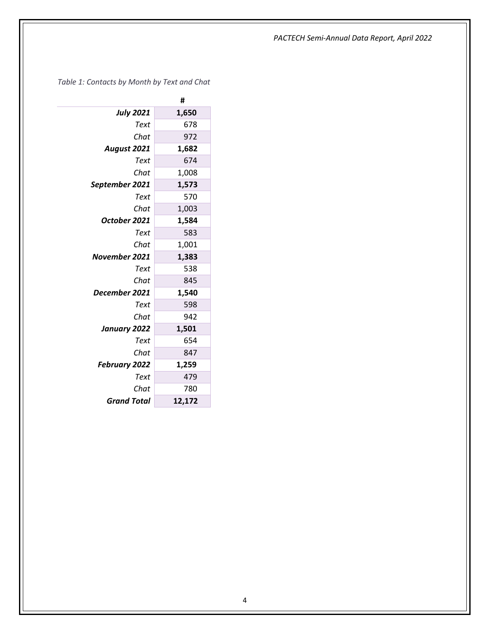<span id="page-6-0"></span>*Table 1: Contacts by Month by Text and Chat*

|                      | #      |
|----------------------|--------|
| <b>July 2021</b>     | 1,650  |
| Text                 | 678    |
| Chat                 | 972    |
| August 2021          | 1,682  |
| Text                 | 674    |
| Chat                 | 1,008  |
| September 2021       | 1,573  |
| Text                 | 570    |
| Chat                 | 1,003  |
| October 2021         | 1,584  |
| Text                 | 583    |
| Chat                 | 1,001  |
| November 2021        | 1,383  |
| Text                 | 538    |
| Chat                 | 845    |
| December 2021        | 1,540  |
| Text                 | 598    |
| Chat                 | 942    |
| January 2022         | 1,501  |
| Text                 | 654    |
| Chat                 | 847    |
| <b>February 2022</b> | 1,259  |
| Text                 | 479    |
| Chat                 | 780    |
| <b>Grand Total</b>   | 12,172 |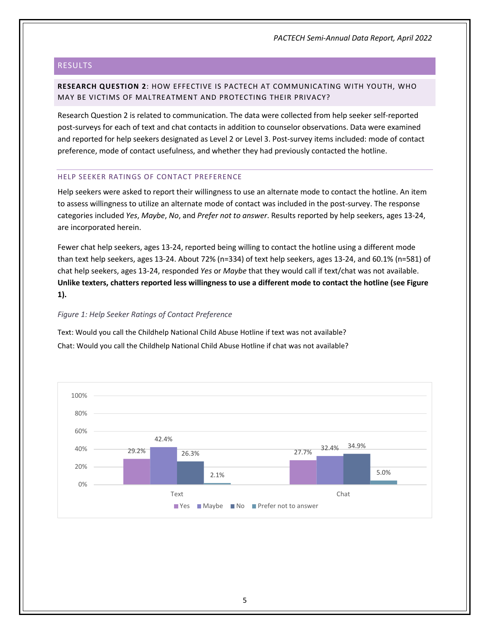# <span id="page-7-0"></span>RESULTS

# <span id="page-7-1"></span>**RESEARCH QUESTION 2**: HOW EFFECTIVE IS PACTECH AT COMMUNICATING WITH YOUTH, WHO MAY BE VICTIMS OF MALTREATMENT AND PROTECTING THEIR PRIVACY?

Research Question 2 is related to communication. The data were collected from help seeker self-reported post-surveys for each of text and chat contacts in addition to counselor observations. Data were examined and reported for help seekers designated as Level 2 or Level 3. Post-survey items included: mode of contact preference, mode of contact usefulness, and whether they had previously contacted the hotline.

#### <span id="page-7-2"></span>HELP SEEKER RATINGS OF CONTACT PREFERENCE

Help seekers were asked to report their willingness to use an alternate mode to contact the hotline. An item to assess willingness to utilize an alternate mode of contact was included in the post-survey. The response categories included *Yes*, *Maybe*, *No*, and *Prefer not to answer*. Results reported by help seekers, ages 13-24, are incorporated herein.

Fewer chat help seekers, ages 13-24, reported being willing to contact the hotline using a different mode than text help seekers, ages 13-24. About 72% (n=334) of text help seekers, ages 13-24, and 60.1% (n=581) of chat help seekers, ages 13-24, responded *Yes* or *Maybe* that they would call if text/chat was not available. **Unlike texters, chatters reported less willingness to use a different mode to contact the hotline (see Figure 1).**

# *Figure 1: Help Seeker Ratings of Contact Preference*

Text: Would you call the Childhelp National Child Abuse Hotline if text was not available? Chat: Would you call the Childhelp National Child Abuse Hotline if chat was not available?

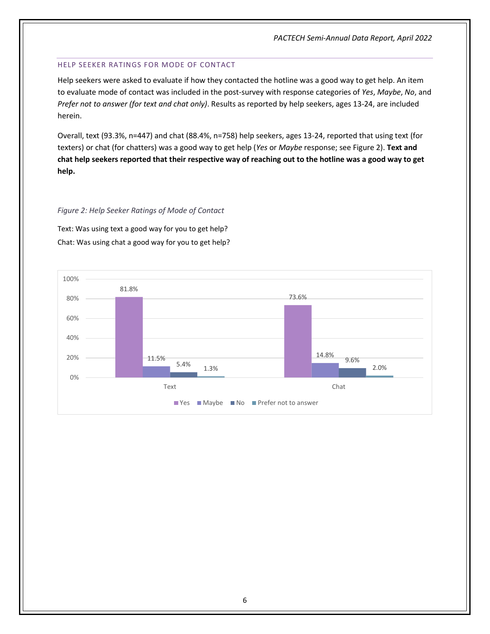# <span id="page-8-0"></span>HELP SEEKER RATINGS FOR MODE OF CONTACT

Help seekers were asked to evaluate if how they contacted the hotline was a good way to get help. An item to evaluate mode of contact was included in the post-survey with response categories of *Yes*, *Maybe*, *No*, and *Prefer not to answer (for text and chat only)*. Results as reported by help seekers, ages 13-24, are included herein.

Overall, text (93.3%, n=447) and chat (88.4%, n=758) help seekers, ages 13-24, reported that using text (for texters) or chat (for chatters) was a good way to get help (*Yes* or *Maybe* response; see Figure 2). **Text and chat help seekers reported that their respective way of reaching out to the hotline was a good way to get help.**

# *Figure 2: Help Seeker Ratings of Mode of Contact*

Text: Was using text a good way for you to get help? Chat: Was using chat a good way for you to get help?

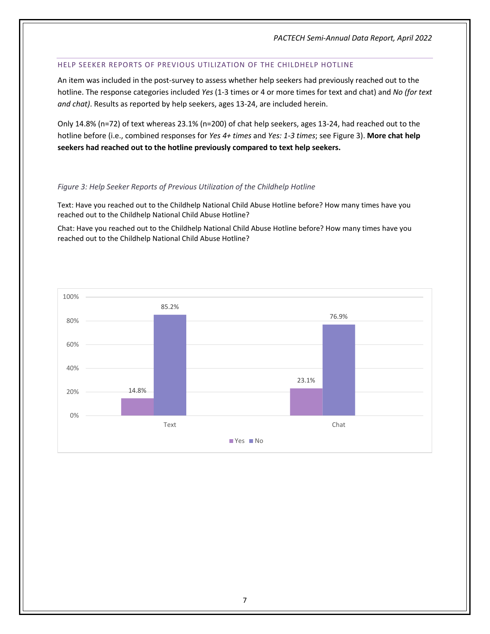# <span id="page-9-0"></span>HELP SEEKER REPORTS OF PREVIOUS UTILIZATION OF THE CHILDHELP HOTLINE

An item was included in the post-survey to assess whether help seekers had previously reached out to the hotline. The response categories included *Yes* (1-3 times or 4 or more times for text and chat) and *No (for text and chat)*. Results as reported by help seekers, ages 13-24, are included herein.

Only 14.8% (n=72) of text whereas 23.1% (n=200) of chat help seekers, ages 13-24, had reached out to the hotline before (i.e., combined responses for *Yes 4+ times* and *Yes: 1-3 times*; see Figure 3). **More chat help seekers had reached out to the hotline previously compared to text help seekers.**

# *Figure 3: Help Seeker Reports of Previous Utilization of the Childhelp Hotline*

Text: Have you reached out to the Childhelp National Child Abuse Hotline before? How many times have you reached out to the Childhelp National Child Abuse Hotline?

Chat: Have you reached out to the Childhelp National Child Abuse Hotline before? How many times have you reached out to the Childhelp National Child Abuse Hotline?

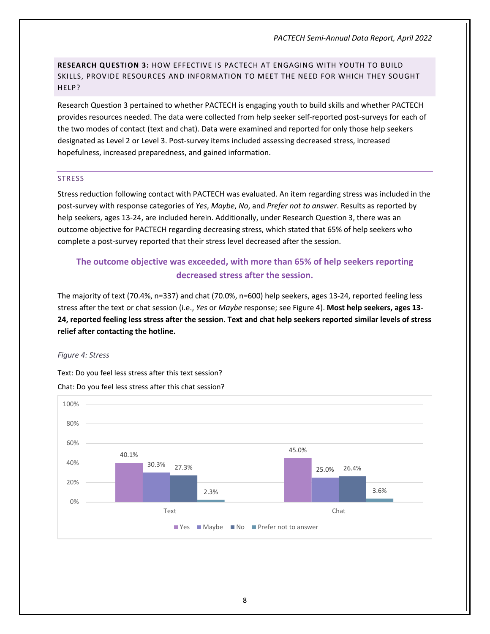<span id="page-10-0"></span>**RESEARCH QUESTION 3:** HOW EFFECTIVE IS PACTECH AT ENGAGING WITH YOUTH TO BUILD SKILLS, PROVIDE RESOURCES AND INFORMATION TO MEET THE NEED FOR WHICH THEY SOUGHT HELP?

Research Question 3 pertained to whether PACTECH is engaging youth to build skills and whether PACTECH provides resources needed. The data were collected from help seeker self-reported post-surveys for each of the two modes of contact (text and chat). Data were examined and reported for only those help seekers designated as Level 2 or Level 3. Post-survey items included assessing decreased stress, increased hopefulness, increased preparedness, and gained information.

#### <span id="page-10-1"></span>**STRESS**

Stress reduction following contact with PACTECH was evaluated. An item regarding stress was included in the post-survey with response categories of *Yes*, *Maybe*, *No*, and *Prefer not to answer*. Results as reported by help seekers, ages 13-24, are included herein. Additionally, under Research Question 3, there was an outcome objective for PACTECH regarding decreasing stress, which stated that 65% of help seekers who complete a post-survey reported that their stress level decreased after the session.

# **The outcome objective was exceeded, with more than 65% of help seekers reporting decreased stress after the session.**

The majority of text (70.4%, n=337) and chat (70.0%, n=600) help seekers, ages 13-24, reported feeling less stress after the text or chat session (i.e., *Yes* or *Maybe* response; see Figure 4). **Most help seekers, ages 13- 24, reported feeling less stress after the session. Text and chat help seekers reported similar levels of stress relief after contacting the hotline.**

#### *Figure 4: Stress*

Text: Do you feel less stress after this text session?

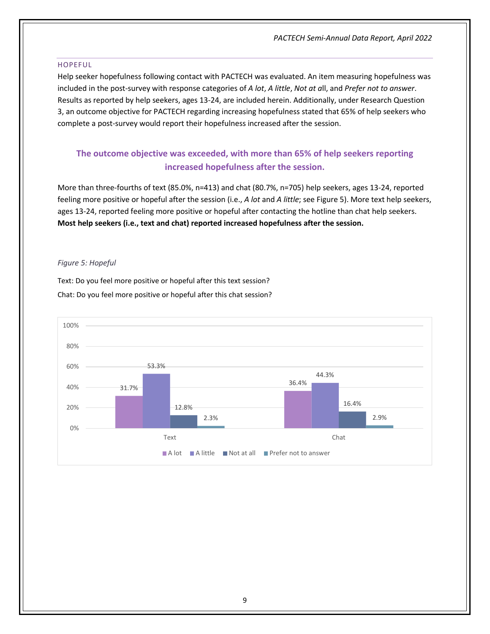#### <span id="page-11-0"></span>HOPEFUL

Help seeker hopefulness following contact with PACTECH was evaluated. An item measuring hopefulness was included in the post-survey with response categories of *A lot*, *A little*, *Not at a*ll, and *Prefer not to answer*. Results as reported by help seekers, ages 13-24, are included herein. Additionally, under Research Question 3, an outcome objective for PACTECH regarding increasing hopefulness stated that 65% of help seekers who complete a post-survey would report their hopefulness increased after the session.

# **The outcome objective was exceeded, with more than 65% of help seekers reporting increased hopefulness after the session.**

More than three-fourths of text (85.0%, n=413) and chat (80.7%, n=705) help seekers, ages 13-24, reported feeling more positive or hopeful after the session (i.e., *A lot* and *A little*; see Figure 5). More text help seekers, ages 13-24, reported feeling more positive or hopeful after contacting the hotline than chat help seekers. **Most help seekers (i.e., text and chat) reported increased hopefulness after the session.**

#### *Figure 5: Hopeful*

Text: Do you feel more positive or hopeful after this text session? Chat: Do you feel more positive or hopeful after this chat session?

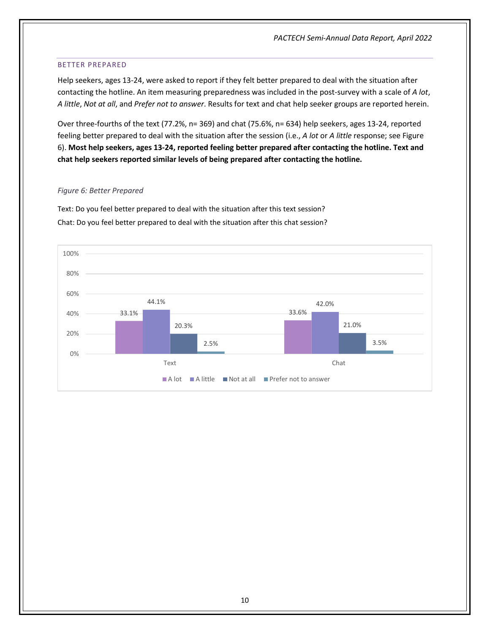#### <span id="page-12-0"></span>BETTER PREPARED

Help seekers, ages 13-24, were asked to report if they felt better prepared to deal with the situation after contacting the hotline. An item measuring preparedness was included in the post-survey with a scale of *A lot*, *A little*, *Not at all*, and *Prefer not to answer*. Results for text and chat help seeker groups are reported herein.

Over three-fourths of the text (77.2%, n= 369) and chat (75.6%, n= 634) help seekers, ages 13-24, reported feeling better prepared to deal with the situation after the session (i.e., *A lot* or *A little* response; see Figure 6). **Most help seekers, ages 13-24, reported feeling better prepared after contacting the hotline. Text and chat help seekers reported similar levels of being prepared after contacting the hotline.**

#### *Figure 6: Better Prepared*

Text: Do you feel better prepared to deal with the situation after this text session? Chat: Do you feel better prepared to deal with the situation after this chat session?

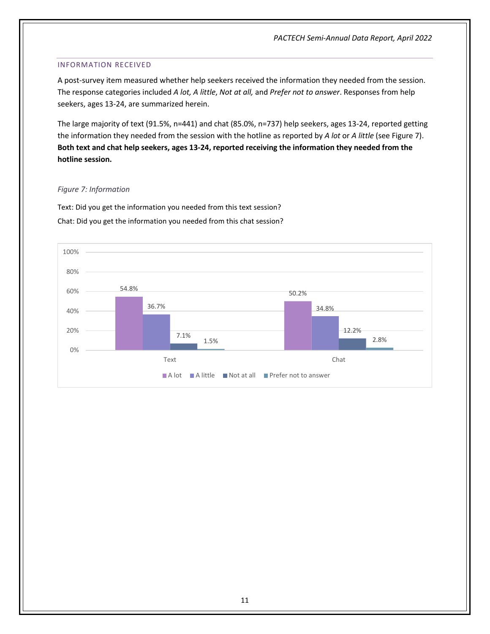### <span id="page-13-0"></span>INFORMATION RECEIVED

A post-survey item measured whether help seekers received the information they needed from the session. The response categories included *A lot, A little*, *Not at all,* and *Prefer not to answer*. Responses from help seekers, ages 13-24, are summarized herein.

The large majority of text (91.5%, n=441) and chat (85.0%, n=737) help seekers, ages 13-24, reported getting the information they needed from the session with the hotline as reported by *A lot* or *A little* (see Figure 7). **Both text and chat help seekers, ages 13-24, reported receiving the information they needed from the hotline session.**

# *Figure 7: Information*

Text: Did you get the information you needed from this text session? Chat: Did you get the information you needed from this chat session?

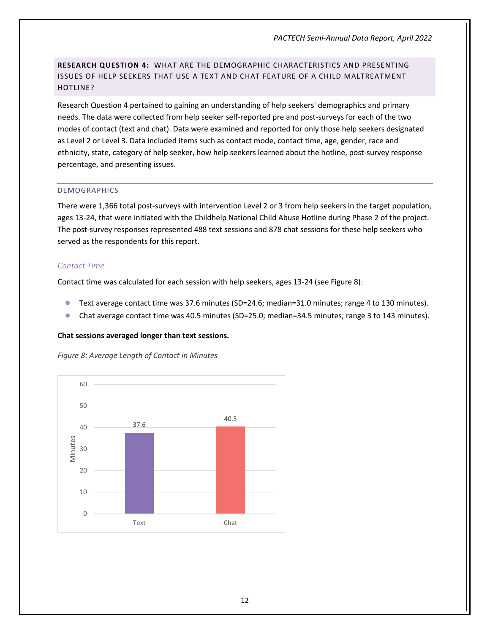<span id="page-14-0"></span>**RESEARCH QUESTION 4:** WHAT ARE THE DEMOGRAPHIC CHARACTERISTICS AND PRESENTING ISSUES OF HELP SEEKERS THAT USE A TEXT AND CHAT FEATURE OF A CHILD MALTREATMENT HOTLINE?

Research Question 4 pertained to gaining an understanding of help seekers' demographics and primary needs. The data were collected from help seeker self-reported pre and post-surveys for each of the two modes of contact (text and chat). Data were examined and reported for only those help seekers designated as Level 2 or Level 3. Data included items such as contact mode, contact time, age, gender, race and ethnicity, state, category of help seeker, how help seekers learned about the hotline, post-survey response percentage, and presenting issues.

# <span id="page-14-1"></span>DEMOGRAPHICS

There were 1,366 total post-surveys with intervention Level 2 or 3 from help seekers in the target population, ages 13-24, that were initiated with the Childhelp National Child Abuse Hotline during Phase 2 of the project. The post-survey responses represented 488 text sessions and 878 chat sessions for these help seekers who served as the respondents for this report.

# <span id="page-14-2"></span>*Contact Time*

Contact time was calculated for each session with help seekers, ages 13-24 (see Figure 8):

- Text average contact time was 37.6 minutes (SD=24.6; median=31.0 minutes; range 4 to 130 minutes).
- Chat average contact time was 40.5 minutes (SD=25.0; median=34.5 minutes; range 3 to 143 minutes).

# **Chat sessions averaged longer than text sessions.**

*Figure 8: Average Length of Contact in Minutes*

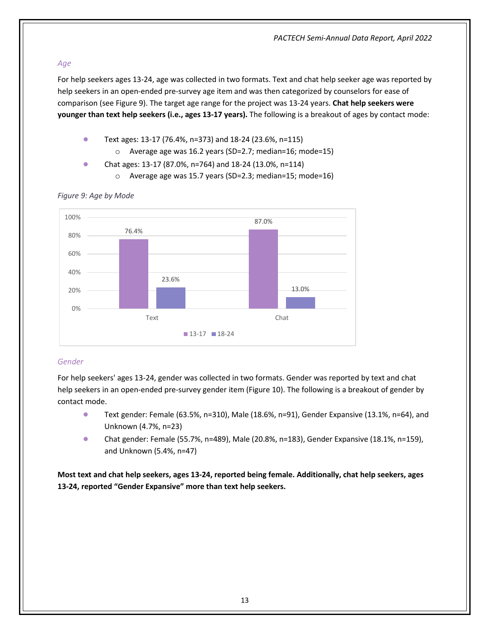# <span id="page-15-0"></span>*Age*

For help seekers ages 13-24, age was collected in two formats. Text and chat help seeker age was reported by help seekers in an open-ended pre-survey age item and was then categorized by counselors for ease of comparison (see Figure 9). The target age range for the project was 13-24 years. **Chat help seekers were younger than text help seekers (i.e., ages 13-17 years).** The following is a breakout of ages by contact mode:

- Text ages: 13-17 (76.4%, n=373) and 18-24 (23.6%, n=115)
	- o Average age was 16.2 years (SD=2.7; median=16; mode=15)
- Chat ages: 13-17 (87.0%, n=764) and 18-24 (13.0%, n=114)
	- o Average age was 15.7 years (SD=2.3; median=15; mode=16)



# *Figure 9: Age by Mode*

# <span id="page-15-1"></span>*Gender*

For help seekers' ages 13-24, gender was collected in two formats. Gender was reported by text and chat help seekers in an open-ended pre-survey gender item (Figure 10). The following is a breakout of gender by contact mode.

- Text gender: Female (63.5%, n=310), Male (18.6%, n=91), Gender Expansive (13.1%, n=64), and Unknown (4.7%, n=23)
- Chat gender: Female (55.7%, n=489), Male (20.8%, n=183), Gender Expansive (18.1%, n=159), and Unknown (5.4%, n=47)

**Most text and chat help seekers, ages 13-24, reported being female. Additionally, chat help seekers, ages 13-24, reported "Gender Expansive" more than text help seekers.**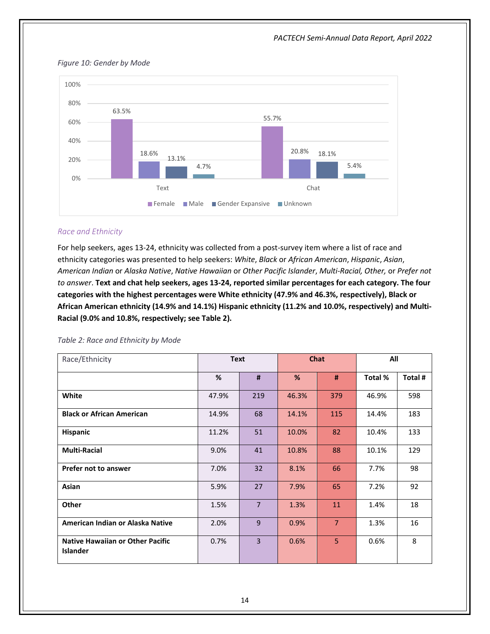

#### *Figure 10: Gender by Mode*

# <span id="page-16-0"></span>*Race and Ethnicity*

For help seekers, ages 13-24, ethnicity was collected from a post-survey item where a list of race and ethnicity categories was presented to help seekers: *White*, *Black* or *African American*, *Hispanic*, *Asian*, *American Indian* or *Alaska Native*, *Native Hawaiian* or *Other Pacific Islander*, *Multi-Racial, Other,* or *Prefer not to answer*. **Text and chat help seekers, ages 13-24, reported similar percentages for each category. The four categories with the highest percentages were White ethnicity (47.9% and 46.3%, respectively), Black or African American ethnicity (14.9% and 14.1%) Hispanic ethnicity (11.2% and 10.0%, respectively) and Multi-Racial (9.0% and 10.8%, respectively; see Table 2).** 

<span id="page-16-1"></span>

|  |  |  |  | Table 2: Race and Ethnicity by Mode |  |  |
|--|--|--|--|-------------------------------------|--|--|
|--|--|--|--|-------------------------------------|--|--|

| Race/Ethnicity                                             |       | <b>Chat</b><br><b>Text</b> |       |                | All     |         |  |
|------------------------------------------------------------|-------|----------------------------|-------|----------------|---------|---------|--|
|                                                            | %     | #                          | %     | #              | Total % | Total # |  |
| White                                                      | 47.9% | 219                        | 46.3% | 379            | 46.9%   | 598     |  |
| <b>Black or African American</b>                           | 14.9% | 68                         | 14.1% | 115            | 14.4%   | 183     |  |
| Hispanic                                                   | 11.2% | 51                         | 10.0% | 82             | 10.4%   | 133     |  |
| <b>Multi-Racial</b>                                        | 9.0%  | 41                         | 10.8% | 88             | 10.1%   | 129     |  |
| Prefer not to answer                                       | 7.0%  | 32                         | 8.1%  | 66             | 7.7%    | 98      |  |
| Asian                                                      | 5.9%  | 27                         | 7.9%  | 65             | 7.2%    | 92      |  |
| Other                                                      | 1.5%  | $\overline{7}$             | 1.3%  | 11             | 1.4%    | 18      |  |
| American Indian or Alaska Native                           | 2.0%  | 9                          | 0.9%  | $\overline{7}$ | 1.3%    | 16      |  |
| <b>Native Hawaiian or Other Pacific</b><br><b>Islander</b> | 0.7%  | 3                          | 0.6%  | 5              | 0.6%    | 8       |  |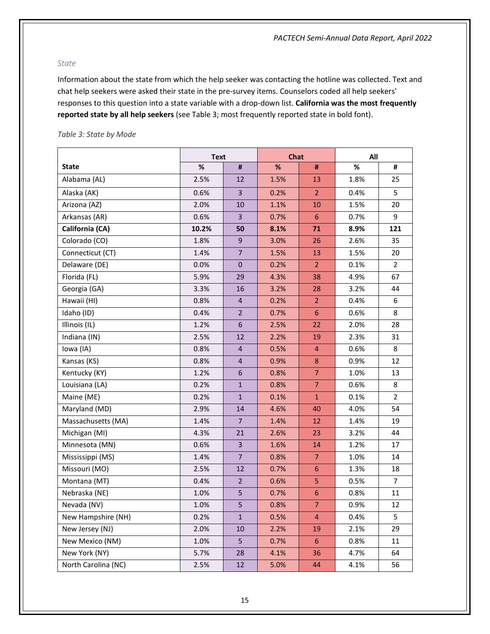### <span id="page-17-0"></span>*State*

Information about the state from which the help seeker was contacting the hotline was collected. Text and chat help seekers were asked their state in the pre-survey items. Counselors coded all help seekers' responses to this question into a state variable with a drop-down list. **California was the most frequently reported state by all help seekers** (see Table 3; most frequently reported state in bold font).

|                     | <b>Text</b> |                         | <b>Chat</b> |                  | All  |                |
|---------------------|-------------|-------------------------|-------------|------------------|------|----------------|
| <b>State</b>        | $\%$        | #                       | %           | #                | %    | #              |
| Alabama (AL)        | 2.5%        | 12                      | 1.5%        | 13               | 1.8% | 25             |
| Alaska (AK)         | 0.6%        | $\overline{3}$          | 0.2%        | $\overline{2}$   | 0.4% | 5              |
| Arizona (AZ)        | 2.0%        | 10                      | 1.1%        | 10               | 1.5% | 20             |
| Arkansas (AR)       | 0.6%        | $\overline{\mathbf{3}}$ | 0.7%        | 6                | 0.7% | 9              |
| California (CA)     | 10.2%       | 50                      | 8.1%        | 71               | 8.9% | 121            |
| Colorado (CO)       | 1.8%        | 9                       | 3.0%        | 26               | 2.6% | 35             |
| Connecticut (CT)    | 1.4%        | $\overline{7}$          | 1.5%        | 13               | 1.5% | 20             |
| Delaware (DE)       | 0.0%        | $\mathbf 0$             | 0.2%        | 2 <sup>2</sup>   | 0.1% | $\overline{2}$ |
| Florida (FL)        | 5.9%        | 29                      | 4.3%        | 38               | 4.9% | 67             |
| Georgia (GA)        | 3.3%        | 16                      | 3.2%        | 28               | 3.2% | 44             |
| Hawaii (HI)         | 0.8%        | $\overline{4}$          | 0.2%        | $\overline{2}$   | 0.4% | 6              |
| Idaho (ID)          | 0.4%        | $\overline{2}$          | 0.7%        | $6\phantom{a}$   | 0.6% | 8              |
| Illinois (IL)       | 1.2%        | $6\phantom{a}$          | 2.5%        | 22               | 2.0% | 28             |
| Indiana (IN)        | 2.5%        | 12                      | 2.2%        | 19               | 2.3% | 31             |
| lowa (IA)           | 0.8%        | $\overline{\mathbf{4}}$ | 0.5%        | 4                | 0.6% | 8              |
| Kansas (KS)         | 0.8%        | $\overline{\mathbf{4}}$ | 0.9%        | 8                | 0.9% | 12             |
| Kentucky (KY)       | 1.2%        | 6                       | 0.8%        | $\overline{7}$   | 1.0% | 13             |
| Louisiana (LA)      | 0.2%        | $\mathbf{1}$            | 0.8%        | $\overline{7}$   | 0.6% | 8              |
| Maine (ME)          | 0.2%        | $\mathbf{1}$            | 0.1%        | $\mathbf{1}$     | 0.1% | $\overline{2}$ |
| Maryland (MD)       | 2.9%        | 14                      | 4.6%        | 40               | 4.0% | 54             |
| Massachusetts (MA)  | 1.4%        | $\overline{7}$          | 1.4%        | 12               | 1.4% | 19             |
| Michigan (MI)       | 4.3%        | 21                      | 2.6%        | 23               | 3.2% | 44             |
| Minnesota (MN)      | 0.6%        | $\overline{\mathbf{3}}$ | 1.6%        | 14               | 1.2% | 17             |
| Mississippi (MS)    | 1.4%        | $\overline{7}$          | 0.8%        | $\overline{7}$   | 1.0% | 14             |
| Missouri (MO)       | 2.5%        | 12                      | 0.7%        | 6                | 1.3% | 18             |
| Montana (MT)        | 0.4%        | 2 <sup>2</sup>          | 0.6%        | 5                | 0.5% | $\overline{7}$ |
| Nebraska (NE)       | 1.0%        | 5                       | 0.7%        | $\boldsymbol{6}$ | 0.8% | 11             |
| Nevada (NV)         | 1.0%        | 5                       | 0.8%        | $\overline{7}$   | 0.9% | $12 \text{ }$  |
| New Hampshire (NH)  | 0.2%        | $\mathbf{1}$            | 0.5%        | 4                | 0.4% | 5              |
| New Jersey (NJ)     | 2.0%        | 10                      | 2.2%        | 19               | 2.1% | 29             |
| New Mexico (NM)     | 1.0%        | 5                       | 0.7%        | 6                | 0.8% | 11             |
| New York (NY)       | 5.7%        | 28                      | 4.1%        | 36               | 4.7% | 64             |
| North Carolina (NC) | 2.5%        | 12                      | 5.0%        | 44               | 4.1% | 56             |

#### <span id="page-17-1"></span>*Table 3: State by Mode*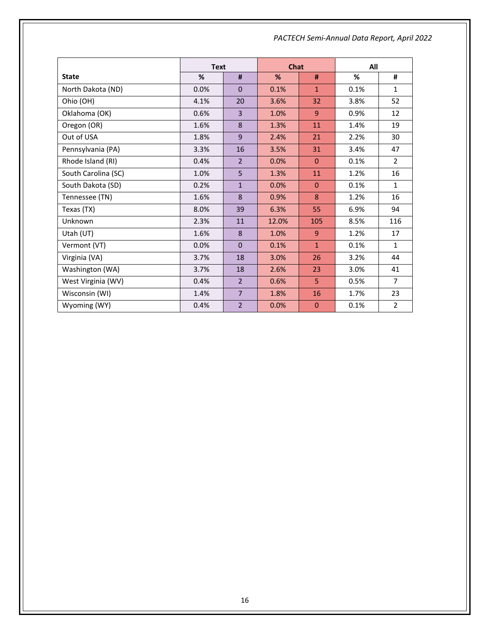|                     | <b>Text</b> |                | Chat  |              | All  |                |  |
|---------------------|-------------|----------------|-------|--------------|------|----------------|--|
| <b>State</b>        | $\%$        | #              | %     | #            | %    | #              |  |
| North Dakota (ND)   | 0.0%        | $\mathbf 0$    | 0.1%  | $\mathbf{1}$ | 0.1% | $\mathbf{1}$   |  |
| Ohio (OH)           | 4.1%        | 20             | 3.6%  | 32           | 3.8% | 52             |  |
| Oklahoma (OK)       | 0.6%        | 3              | 1.0%  | 9            | 0.9% | 12             |  |
| Oregon (OR)         | 1.6%        | 8              | 1.3%  | 11           | 1.4% | 19             |  |
| Out of USA          | 1.8%        | 9              | 2.4%  | 21           | 2.2% | 30             |  |
| Pennsylvania (PA)   | 3.3%        | 16             | 3.5%  | 31           | 3.4% | 47             |  |
| Rhode Island (RI)   | 0.4%        | $\overline{2}$ | 0.0%  | $\Omega$     | 0.1% | $\overline{2}$ |  |
| South Carolina (SC) | 1.0%        | 5              | 1.3%  | 11           | 1.2% | 16             |  |
| South Dakota (SD)   | 0.2%        | $\mathbf{1}$   | 0.0%  | $\mathbf{0}$ | 0.1% | $\mathbf{1}$   |  |
| Tennessee (TN)      | 1.6%        | 8              | 0.9%  | 8            | 1.2% | 16             |  |
| Texas (TX)          | 8.0%        | 39             | 6.3%  | 55           | 6.9% | 94             |  |
| Unknown             | 2.3%        | 11             | 12.0% | 105          | 8.5% | 116            |  |
| Utah (UT)           | 1.6%        | 8              | 1.0%  | 9            | 1.2% | 17             |  |
| Vermont (VT)        | 0.0%        | $\mathbf 0$    | 0.1%  | $\mathbf{1}$ | 0.1% | $\mathbf{1}$   |  |
| Virginia (VA)       | 3.7%        | 18             | 3.0%  | 26           | 3.2% | 44             |  |
| Washington (WA)     | 3.7%        | 18             | 2.6%  | 23           | 3.0% | 41             |  |
| West Virginia (WV)  | 0.4%        | $\overline{2}$ | 0.6%  | 5            | 0.5% | $\overline{7}$ |  |
| Wisconsin (WI)      | 1.4%        | $\overline{7}$ | 1.8%  | 16           | 1.7% | 23             |  |
| Wyoming (WY)        | 0.4%        | $\overline{2}$ | 0.0%  | $\mathbf 0$  | 0.1% | $\overline{2}$ |  |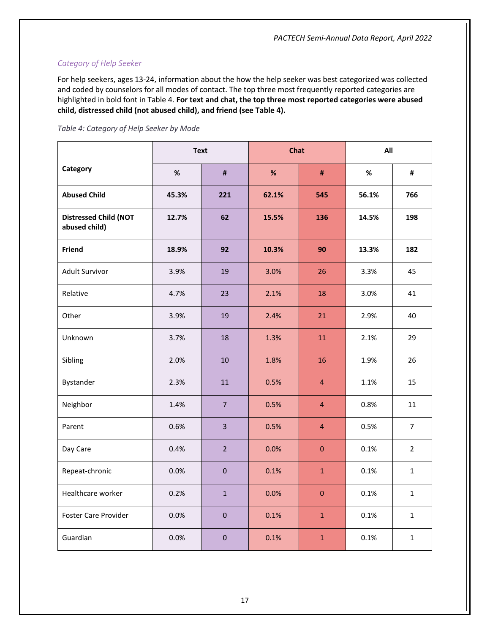# <span id="page-19-0"></span>*Category of Help Seeker*

For help seekers, ages 13-24, information about the how the help seeker was best categorized was collected and coded by counselors for all modes of contact. The top three most frequently reported categories are highlighted in bold font in Table 4. **For text and chat, the top three most reported categories were abused child, distressed child (not abused child), and friend (see Table 4).** 

<span id="page-19-1"></span>

|  | Table 4: Category of Help Seeker by Mode |  |  |  |
|--|------------------------------------------|--|--|--|
|  |                                          |  |  |  |

|                                               | <b>Text</b> |                | <b>Chat</b> |                | All   |                |
|-----------------------------------------------|-------------|----------------|-------------|----------------|-------|----------------|
| Category                                      | $\%$        | #              | %           | #              | $\%$  | #              |
| <b>Abused Child</b>                           | 45.3%       | 221            | 62.1%       | 545            | 56.1% | 766            |
| <b>Distressed Child (NOT</b><br>abused child) | 12.7%       | 62             | 15.5%       | 136            | 14.5% | 198            |
| Friend                                        | 18.9%       | 92             | 10.3%       | 90             | 13.3% | 182            |
| Adult Survivor                                | 3.9%        | 19             | 3.0%        | 26             | 3.3%  | 45             |
| Relative                                      | 4.7%        | 23             | 2.1%        | 18             | 3.0%  | 41             |
| Other                                         | 3.9%        | 19             | 2.4%        | 21             | 2.9%  | 40             |
| Unknown                                       | 3.7%        | 18             | 1.3%        | 11             | 2.1%  | 29             |
| Sibling                                       | 2.0%        | 10             | 1.8%        | 16             | 1.9%  | 26             |
| Bystander                                     | 2.3%        | 11             | 0.5%        | 4              | 1.1%  | 15             |
| Neighbor                                      | 1.4%        | $\overline{7}$ | 0.5%        | $\overline{4}$ | 0.8%  | 11             |
| Parent                                        | 0.6%        | $\overline{3}$ | 0.5%        | $\overline{4}$ | 0.5%  | $\overline{7}$ |
| Day Care                                      | 0.4%        | $\overline{2}$ | 0.0%        | $\overline{0}$ | 0.1%  | $\overline{2}$ |
| Repeat-chronic                                | 0.0%        | $\mathbf{0}$   | 0.1%        | $\mathbf{1}$   | 0.1%  | $\mathbf{1}$   |
| Healthcare worker                             | 0.2%        | $\mathbf{1}$   | 0.0%        | $\mathbf 0$    | 0.1%  | $\mathbf{1}$   |
| <b>Foster Care Provider</b>                   | 0.0%        | $\pmb{0}$      | 0.1%        | $\mathbf{1}$   | 0.1%  | $\mathbf{1}$   |
| Guardian                                      | 0.0%        | $\pmb{0}$      | 0.1%        | $\mathbf{1}$   | 0.1%  | $\mathbf{1}$   |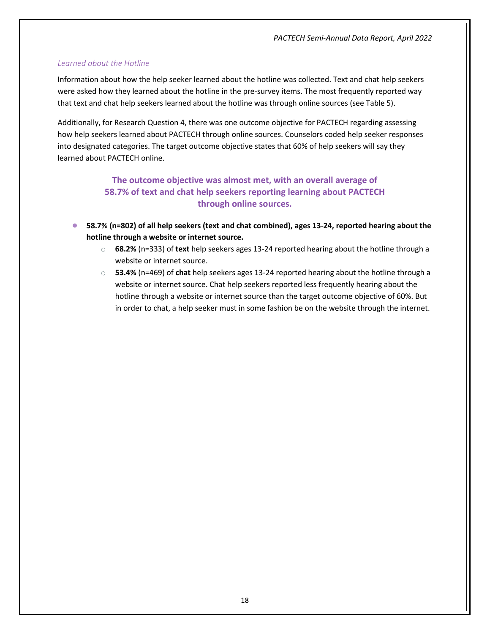# <span id="page-20-0"></span>*Learned about the Hotline*

Information about how the help seeker learned about the hotline was collected. Text and chat help seekers were asked how they learned about the hotline in the pre-survey items. The most frequently reported way that text and chat help seekers learned about the hotline was through online sources (see Table 5).

Additionally, for Research Question 4, there was one outcome objective for PACTECH regarding assessing how help seekers learned about PACTECH through online sources. Counselors coded help seeker responses into designated categories. The target outcome objective states that 60% of help seekers will say they learned about PACTECH online.

# **The outcome objective was almost met, with an overall average of 58.7% of text and chat help seekers reporting learning about PACTECH through online sources.**

- **58.7% (n=802) of all help seekers (text and chat combined), ages 13-24, reported hearing about the hotline through a website or internet source.**
	- o **68.2%** (n=333) of **text** help seekers ages 13-24 reported hearing about the hotline through a website or internet source.
	- o **53.4%** (n=469) of **chat** help seekers ages 13-24 reported hearing about the hotline through a website or internet source. Chat help seekers reported less frequently hearing about the hotline through a website or internet source than the target outcome objective of 60%. But in order to chat, a help seeker must in some fashion be on the website through the internet.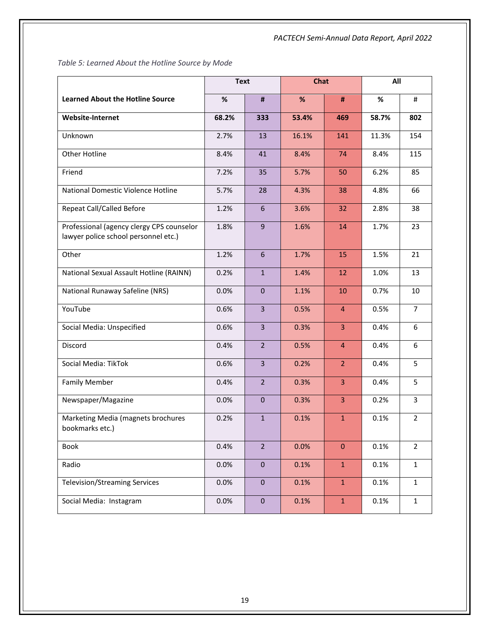<span id="page-21-0"></span>*Table 5: Learned About the Hotline Source by Mode*

|                                                                                   | <b>Text</b> |                         | <b>Chat</b> |                | All   |                |
|-----------------------------------------------------------------------------------|-------------|-------------------------|-------------|----------------|-------|----------------|
| <b>Learned About the Hotline Source</b>                                           | %           | #                       | %           | #              | %     | #              |
| <b>Website-Internet</b>                                                           | 68.2%       | 333                     | 53.4%       | 469            | 58.7% | 802            |
| Unknown                                                                           | 2.7%        | 13                      | 16.1%       | 141            | 11.3% | 154            |
| <b>Other Hotline</b>                                                              | 8.4%        | 41                      | 8.4%        | 74             | 8.4%  | 115            |
| Friend                                                                            | 7.2%        | 35                      | 5.7%        | 50             | 6.2%  | 85             |
| National Domestic Violence Hotline                                                | 5.7%        | 28                      | 4.3%        | 38             | 4.8%  | 66             |
| Repeat Call/Called Before                                                         | 1.2%        | 6                       | 3.6%        | 32             | 2.8%  | 38             |
| Professional (agency clergy CPS counselor<br>lawyer police school personnel etc.) | 1.8%        | 9                       | 1.6%        | 14             | 1.7%  | 23             |
| Other                                                                             | 1.2%        | 6                       | 1.7%        | 15             | 1.5%  | 21             |
| National Sexual Assault Hotline (RAINN)                                           | 0.2%        | $\mathbf{1}$            | 1.4%        | 12             | 1.0%  | 13             |
| National Runaway Safeline (NRS)                                                   | 0.0%        | $\mathbf{0}$            | 1.1%        | 10             | 0.7%  | 10             |
| YouTube                                                                           | 0.6%        | $\overline{3}$          | 0.5%        | $\overline{4}$ | 0.5%  | 7              |
| Social Media: Unspecified                                                         | 0.6%        | $\overline{3}$          | 0.3%        | 3              | 0.4%  | 6              |
| Discord                                                                           | 0.4%        | 2 <sup>1</sup>          | 0.5%        | $\overline{4}$ | 0.4%  | 6              |
| Social Media: TikTok                                                              | 0.6%        | $\overline{\mathbf{3}}$ | 0.2%        | 2 <sup>1</sup> | 0.4%  | 5              |
| <b>Family Member</b>                                                              | 0.4%        | 2 <sup>2</sup>          | 0.3%        | 3              | 0.4%  | 5              |
| Newspaper/Magazine                                                                | 0.0%        | $\mathbf 0$             | 0.3%        | 3              | 0.2%  | 3              |
| Marketing Media (magnets brochures<br>bookmarks etc.)                             | 0.2%        | $\mathbf{1}$            | 0.1%        | $\mathbf{1}$   | 0.1%  | $\overline{2}$ |
| Book                                                                              | 0.4%        | $\overline{2}$          | 0.0%        | $\mathbf{0}$   | 0.1%  | $\overline{2}$ |
| Radio                                                                             | 0.0%        | $\pmb{0}$               | 0.1%        | $\mathbf{1}$   | 0.1%  | $\mathbf 1$    |
| <b>Television/Streaming Services</b>                                              | 0.0%        | $\pmb{0}$               | 0.1%        | $\mathbf{1}$   | 0.1%  | $\mathbf{1}$   |
| Social Media: Instagram                                                           | 0.0%        | $\pmb{0}$               | 0.1%        | $\mathbf{1}$   | 0.1%  | $\mathbf 1$    |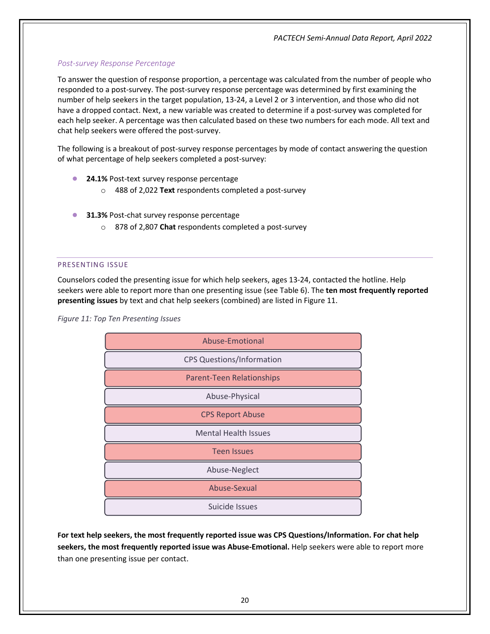# <span id="page-22-0"></span>*Post-survey Response Percentage*

To answer the question of response proportion, a percentage was calculated from the number of people who responded to a post-survey. The post-survey response percentage was determined by first examining the number of help seekers in the target population, 13-24, a Level 2 or 3 intervention, and those who did not have a dropped contact. Next, a new variable was created to determine if a post-survey was completed for each help seeker. A percentage was then calculated based on these two numbers for each mode. All text and chat help seekers were offered the post-survey.

The following is a breakout of post-survey response percentages by mode of contact answering the question of what percentage of help seekers completed a post-survey:

- **24.1%** Post-text survey response percentage
	- o 488 of 2,022 **Text** respondents completed a post-survey
- **8 31.3%** Post-chat survey response percentage
	- o 878 of 2,807 **Chat** respondents completed a post-survey

#### <span id="page-22-1"></span>PRESENTING ISSUE

Counselors coded the presenting issue for which help seekers, ages 13-24, contacted the hotline. Help seekers were able to report more than one presenting issue (see Table 6). The **ten most frequently reported presenting issues** by text and chat help seekers (combined) are listed in Figure 11.

*Figure 11: Top Ten Presenting Issues*



**For text help seekers, the most frequently reported issue was CPS Questions/Information. For chat help seekers, the most frequently reported issue was Abuse-Emotional.** Help seekers were able to report more than one presenting issue per contact.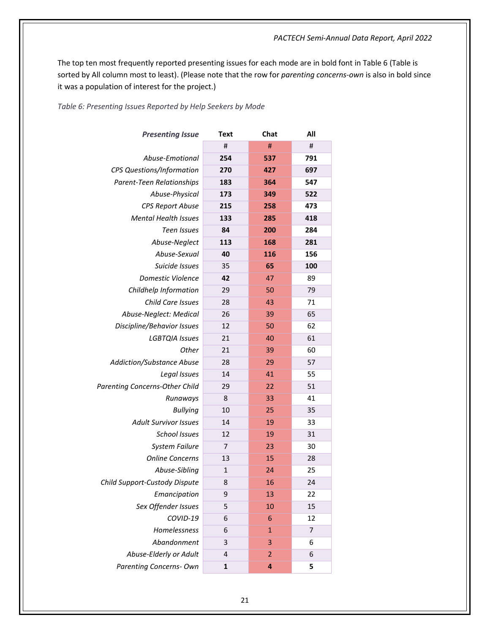The top ten most frequently reported presenting issues for each mode are in bold font in Table 6 (Table is sorted by All column most to least). (Please note that the row for *parenting concerns-own* is also in bold since it was a population of interest for the project.)

#### <span id="page-23-0"></span>*Table 6: Presenting Issues Reported by Help Seekers by Mode*

| <b>Presenting Issue</b>        | Text | Chat           | All |
|--------------------------------|------|----------------|-----|
|                                | #    | #              | #   |
| Abuse-Emotional                | 254  | 537            | 791 |
| CPS Questions/Information      | 270  | 427            | 697 |
| Parent-Teen Relationships      | 183  | 364            | 547 |
| Abuse-Physical                 | 173  | 349            | 522 |
| <b>CPS Report Abuse</b>        | 215  | 258            | 473 |
| <b>Mental Health Issues</b>    | 133  | 285            | 418 |
| <b>Teen Issues</b>             | 84   | 200            | 284 |
| Abuse-Neglect                  | 113  | 168            | 281 |
| Abuse-Sexual                   | 40   | 116            | 156 |
| Suicide Issues                 | 35   | 65             | 100 |
| Domestic Violence              | 42   | 47             | 89  |
| Childhelp Information          | 29   | 50             | 79  |
| Child Care Issues              | 28   | 43             | 71  |
| Abuse-Neglect: Medical         | 26   | 39             | 65  |
| Discipline/Behavior Issues     | 12   | 50             | 62  |
| <b>LGBTQIA Issues</b>          | 21   | 40             | 61  |
| Other                          | 21   | 39             | 60  |
| Addiction/Substance Abuse      | 28   | 29             | 57  |
| Legal Issues                   | 14   | 41             | 55  |
| Parenting Concerns-Other Child | 29   | 22             | 51  |
| Runaways                       | 8    | 33             | 41  |
| <b>Bullying</b>                | 10   | 25             | 35  |
| <b>Adult Survivor Issues</b>   | 14   | 19             | 33  |
| <b>School Issues</b>           | 12   | 19             | 31  |
| <b>System Failure</b>          | 7    | 23             | 30  |
| <b>Online Concerns</b>         | 13   | 15             | 28  |
| Abuse-Sibling                  | 1    | 24             | 25  |
| Child Support-Custody Dispute  | 8    | 16             | 24  |
| Emancipation                   | 9    | 13             | 22  |
| Sex Offender Issues            | 5    | 10             | 15  |
| COVID-19                       | 6    | 6              | 12  |
| Homelessness                   | 6    | $\mathbf{1}$   | 7   |
| Abandonment                    | 3    | 3              | 6   |
| Abuse-Elderly or Adult         | 4    | $\overline{2}$ | 6   |
| <b>Parenting Concerns- Own</b> | 1    | 4              | 5   |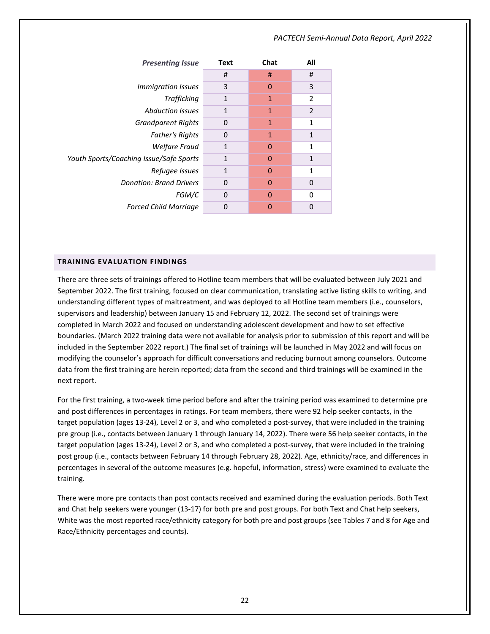| <b>Presenting Issue</b>                 | Text         | Chat         | All            |
|-----------------------------------------|--------------|--------------|----------------|
|                                         | #            | #            | #              |
| <i>Immigration Issues</i>               | 3            | $\Omega$     | 3              |
| Trafficking                             | $\mathbf{1}$ | $\mathbf{1}$ | $\overline{2}$ |
| <b>Abduction Issues</b>                 | $\mathbf{1}$ | $\mathbf{1}$ | $\overline{2}$ |
| <b>Grandparent Rights</b>               | 0            | 1            | 1              |
| <b>Father's Rights</b>                  | $\Omega$     | $\mathbf{1}$ | 1              |
| <b>Welfare Fraud</b>                    | 1            | $\Omega$     | 1              |
| Youth Sports/Coaching Issue/Safe Sports | 1            | $\Omega$     | $\mathbf{1}$   |
| Refugee Issues                          | $\mathbf{1}$ | $\Omega$     | 1              |
| <b>Donation: Brand Drivers</b>          | $\Omega$     | 0            | 0              |
| FGM/C                                   | 0            | $\Omega$     | $\Omega$       |
| <b>Forced Child Marriage</b>            | 0            | 0            | 0              |

#### <span id="page-24-0"></span>**TRAINING EVALUATION FINDINGS**

There are three sets of trainings offered to Hotline team members that will be evaluated between July 2021 and September 2022. The first training, focused on clear communication, translating active listing skills to writing, and understanding different types of maltreatment, and was deployed to all Hotline team members (i.e., counselors, supervisors and leadership) between January 15 and February 12, 2022. The second set of trainings were completed in March 2022 and focused on understanding adolescent development and how to set effective boundaries. (March 2022 training data were not available for analysis prior to submission of this report and will be included in the September 2022 report.) The final set of trainings will be launched in May 2022 and will focus on modifying the counselor's approach for difficult conversations and reducing burnout among counselors. Outcome data from the first training are herein reported; data from the second and third trainings will be examined in the next report.

For the first training, a two-week time period before and after the training period was examined to determine pre and post differences in percentages in ratings. For team members, there were 92 help seeker contacts, in the target population (ages 13-24), Level 2 or 3, and who completed a post-survey, that were included in the training pre group (i.e., contacts between January 1 through January 14, 2022). There were 56 help seeker contacts, in the target population (ages 13-24), Level 2 or 3, and who completed a post-survey, that were included in the training post group (i.e., contacts between February 14 through February 28, 2022). Age, ethnicity/race, and differences in percentages in several of the outcome measures (e.g. hopeful, information, stress) were examined to evaluate the training.

There were more pre contacts than post contacts received and examined during the evaluation periods. Both Text and Chat help seekers were younger (13-17) for both pre and post groups. For both Text and Chat help seekers, White was the most reported race/ethnicity category for both pre and post groups (see Tables 7 and 8 for Age and Race/Ethnicity percentages and counts).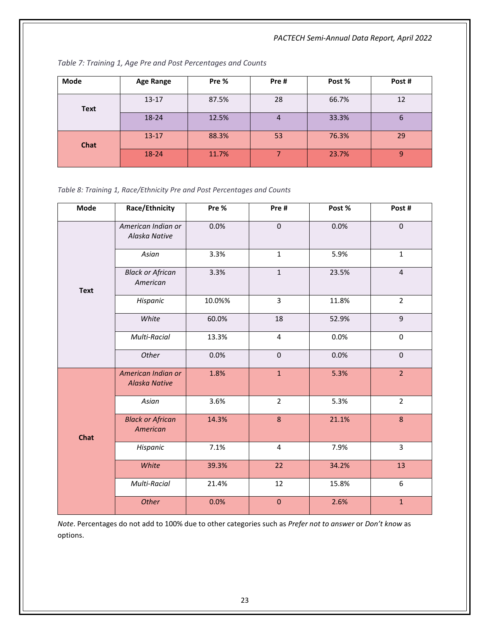<span id="page-25-0"></span>

| <b>Mode</b> | <b>Age Range</b> | Pre % | Pre#           | Post % | Post# |
|-------------|------------------|-------|----------------|--------|-------|
| <b>Text</b> | $13 - 17$        | 87.5% | 28             | 66.7%  | 12    |
|             | 18-24            | 12.5% | $\overline{4}$ | 33.3%  | 6     |
| <b>Chat</b> | $13 - 17$        | 88.3% | 53             | 76.3%  | 29    |
|             | 18-24            | 11.7% |                | 23.7%  | 9     |

<span id="page-25-1"></span>*Table 8: Training 1, Race/Ethnicity Pre and Post Percentages and Counts*

| Mode        | Race/Ethnicity                             | Pre %  | Pre#             | Post % | Post#                   |
|-------------|--------------------------------------------|--------|------------------|--------|-------------------------|
| <b>Text</b> | American Indian or<br>Alaska Native        | 0.0%   | $\pmb{0}$        | 0.0%   | $\pmb{0}$               |
|             | Asian                                      | 3.3%   | $\mathbf{1}$     | 5.9%   | $\mathbf{1}$            |
|             | <b>Black or African</b><br>American        | 3.3%   | $\mathbf{1}$     | 23.5%  | $\overline{4}$          |
|             | Hispanic                                   | 10.0%% | 3                | 11.8%  | $\overline{2}$          |
|             | White                                      | 60.0%  | 18               | 52.9%  | $\mathsf g$             |
|             | Multi-Racial                               | 13.3%  | $\overline{4}$   | 0.0%   | $\pmb{0}$               |
|             | Other                                      | 0.0%   | $\pmb{0}$        | 0.0%   | $\pmb{0}$               |
| <b>Chat</b> | American Indian or<br><b>Alaska Native</b> | 1.8%   | $\mathbf{1}$     | 5.3%   | $\overline{2}$          |
|             | Asian                                      | 3.6%   | $\overline{2}$   | 5.3%   | $\overline{2}$          |
|             | <b>Black or African</b><br>American        | 14.3%  | $\boldsymbol{8}$ | 21.1%  | $\bf 8$                 |
|             | Hispanic                                   | 7.1%   | $\pmb{4}$        | 7.9%   | $\overline{\mathbf{3}}$ |
|             | White                                      | 39.3%  | 22               | 34.2%  | 13                      |
|             | Multi-Racial                               | 21.4%  | 12               | 15.8%  | 6                       |
|             | Other                                      | 0.0%   | $\bf 0$          | 2.6%   | $\mathbf 1$             |

*Note*. Percentages do not add to 100% due to other categories such as *Prefer not to answer* or *Don't know* as options.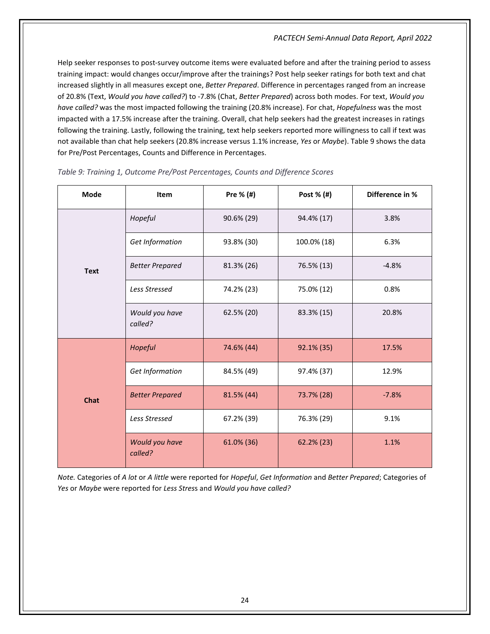Help seeker responses to post-survey outcome items were evaluated before and after the training period to assess training impact: would changes occur/improve after the trainings? Post help seeker ratings for both text and chat increased slightly in all measures except one, *Better Prepared*. Difference in percentages ranged from an increase of 20.8% (Text, *Would you have called?*) to -7.8% (Chat, *Better Prepared*) across both modes. For text, *Would you have called?* was the most impacted following the training (20.8% increase). For chat, *Hopefulness* was the most impacted with a 17.5% increase after the training. Overall, chat help seekers had the greatest increases in ratings following the training. Lastly, following the training, text help seekers reported more willingness to call if text was not available than chat help seekers (20.8% increase versus 1.1% increase, *Yes* or *Maybe*). Table 9 shows the data for Pre/Post Percentages, Counts and Difference in Percentages.

| <b>Mode</b> | Item                      | Pre $%$ (#) | Post % (#)  | Difference in % |
|-------------|---------------------------|-------------|-------------|-----------------|
| <b>Text</b> | Hopeful                   | 90.6% (29)  | 94.4% (17)  | 3.8%            |
|             | Get Information           | 93.8% (30)  | 100.0% (18) | 6.3%            |
|             | <b>Better Prepared</b>    | 81.3% (26)  | 76.5% (13)  | $-4.8%$         |
|             | <b>Less Stressed</b>      | 74.2% (23)  | 75.0% (12)  | 0.8%            |
|             | Would you have<br>called? | 62.5% (20)  | 83.3% (15)  | 20.8%           |
| <b>Chat</b> | Hopeful                   | 74.6% (44)  | 92.1% (35)  | 17.5%           |
|             | Get Information           | 84.5% (49)  | 97.4% (37)  | 12.9%           |
|             | <b>Better Prepared</b>    | 81.5% (44)  | 73.7% (28)  | $-7.8%$         |
|             | <b>Less Stressed</b>      | 67.2% (39)  | 76.3% (29)  | 9.1%            |
|             | Would you have<br>called? | 61.0% (36)  | 62.2% (23)  | 1.1%            |

#### <span id="page-26-0"></span>*Table 9: Training 1, Outcome Pre/Post Percentages, Counts and Difference Scores*

*Note.* Categories of *A lot* or *A little* were reported for *Hopeful*, *Get Information* and *Better Prepared*; Categories of *Yes* or *Maybe* were reported for *Less Stres*s and *Would you have called?*